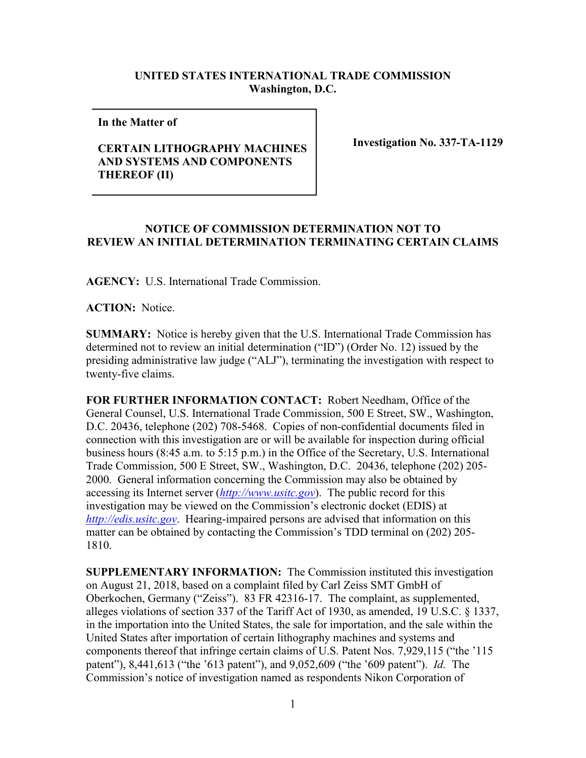## **UNITED STATES INTERNATIONAL TRADE COMMISSION Washington, D.C.**

**In the Matter of** 

## **CERTAIN LITHOGRAPHY MACHINES AND SYSTEMS AND COMPONENTS THEREOF (II)**

**Investigation No. 337-TA-1129**

## **NOTICE OF COMMISSION DETERMINATION NOT TO REVIEW AN INITIAL DETERMINATION TERMINATING CERTAIN CLAIMS**

**AGENCY:** U.S. International Trade Commission.

**ACTION:** Notice.

**SUMMARY:** Notice is hereby given that the U.S. International Trade Commission has determined not to review an initial determination ("ID") (Order No. 12) issued by the presiding administrative law judge ("ALJ"), terminating the investigation with respect to twenty-five claims.

**FOR FURTHER INFORMATION CONTACT:** Robert Needham, Office of the General Counsel, U.S. International Trade Commission, 500 E Street, SW., Washington, D.C. 20436, telephone (202) 708-5468. Copies of non-confidential documents filed in connection with this investigation are or will be available for inspection during official business hours (8:45 a.m. to 5:15 p.m.) in the Office of the Secretary, U.S. International Trade Commission, 500 E Street, SW., Washington, D.C. 20436, telephone (202) 205- 2000. General information concerning the Commission may also be obtained by accessing its Internet server (*[http://www.usitc.gov](http://www.usitc.gov/)*). The public record for this investigation may be viewed on the Commission's electronic docket (EDIS) at *[http://edis.usitc.gov](http://edis.usitc.gov/)*. Hearing-impaired persons are advised that information on this matter can be obtained by contacting the Commission's TDD terminal on (202) 205- 1810.

**SUPPLEMENTARY INFORMATION:** The Commission instituted this investigation on August 21, 2018, based on a complaint filed by Carl Zeiss SMT GmbH of Oberkochen, Germany ("Zeiss"). 83 FR 42316-17. The complaint, as supplemented, alleges violations of section 337 of the Tariff Act of 1930, as amended, 19 U.S.C. § 1337, in the importation into the United States, the sale for importation, and the sale within the United States after importation of certain lithography machines and systems and components thereof that infringe certain claims of U.S. Patent Nos. 7,929,115 ("the '115 patent"), 8,441,613 ("the '613 patent"), and 9,052,609 ("the '609 patent"). *Id.* The Commission's notice of investigation named as respondents Nikon Corporation of